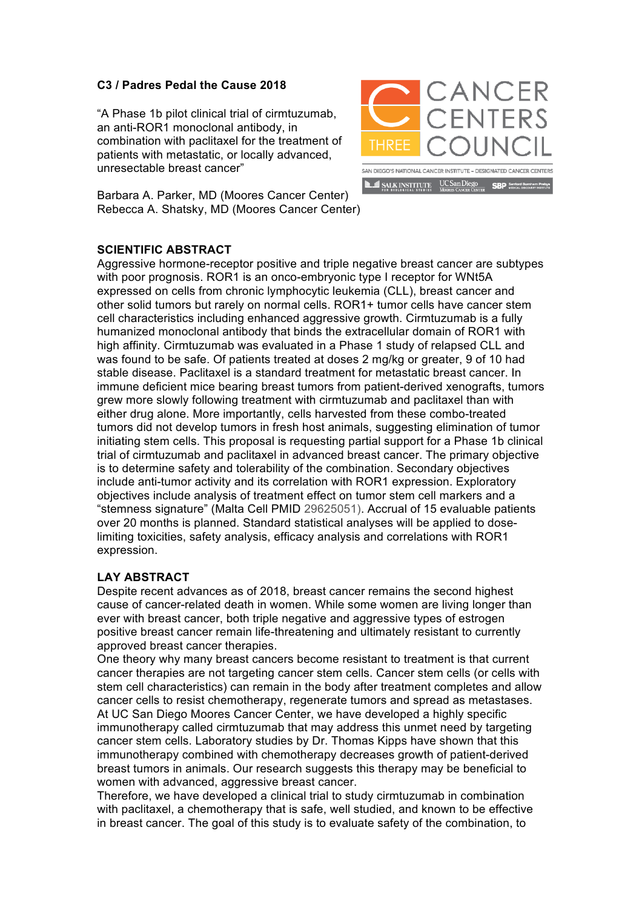## **C3 / Padres Pedal the Cause 2018**

"A Phase 1b pilot clinical trial of cirmtuzumab, an anti-ROR1 monoclonal antibody, in combination with paclitaxel for the treatment of patients with metastatic, or locally advanced, unresectable breast cancer"



Barbara A. Parker, MD (Moores Cancer Center) Rebecca A. Shatsky, MD (Moores Cancer Center)

## **SCIENTIFIC ABSTRACT**

Aggressive hormone-receptor positive and triple negative breast cancer are subtypes with poor prognosis. ROR1 is an onco-embryonic type I receptor for WNt5A expressed on cells from chronic lymphocytic leukemia (CLL), breast cancer and other solid tumors but rarely on normal cells. ROR1+ tumor cells have cancer stem cell characteristics including enhanced aggressive growth. Cirmtuzumab is a fully humanized monoclonal antibody that binds the extracellular domain of ROR1 with high affinity. Cirmtuzumab was evaluated in a Phase 1 study of relapsed CLL and was found to be safe. Of patients treated at doses 2 mg/kg or greater, 9 of 10 had stable disease. Paclitaxel is a standard treatment for metastatic breast cancer. In immune deficient mice bearing breast tumors from patient-derived xenografts, tumors grew more slowly following treatment with cirmtuzumab and paclitaxel than with either drug alone. More importantly, cells harvested from these combo-treated tumors did not develop tumors in fresh host animals, suggesting elimination of tumor initiating stem cells. This proposal is requesting partial support for a Phase 1b clinical trial of cirmtuzumab and paclitaxel in advanced breast cancer. The primary objective is to determine safety and tolerability of the combination. Secondary objectives include anti-tumor activity and its correlation with ROR1 expression. Exploratory objectives include analysis of treatment effect on tumor stem cell markers and a "stemness signature" (Malta Cell PMID 29625051). Accrual of 15 evaluable patients over 20 months is planned. Standard statistical analyses will be applied to doselimiting toxicities, safety analysis, efficacy analysis and correlations with ROR1 expression.

## **LAY ABSTRACT**

Despite recent advances as of 2018, breast cancer remains the second highest cause of cancer-related death in women. While some women are living longer than ever with breast cancer, both triple negative and aggressive types of estrogen positive breast cancer remain life-threatening and ultimately resistant to currently approved breast cancer therapies.

One theory why many breast cancers become resistant to treatment is that current cancer therapies are not targeting cancer stem cells. Cancer stem cells (or cells with stem cell characteristics) can remain in the body after treatment completes and allow cancer cells to resist chemotherapy, regenerate tumors and spread as metastases. At UC San Diego Moores Cancer Center, we have developed a highly specific immunotherapy called cirmtuzumab that may address this unmet need by targeting cancer stem cells. Laboratory studies by Dr. Thomas Kipps have shown that this immunotherapy combined with chemotherapy decreases growth of patient-derived breast tumors in animals. Our research suggests this therapy may be beneficial to women with advanced, aggressive breast cancer.

Therefore, we have developed a clinical trial to study cirmtuzumab in combination with paclitaxel, a chemotherapy that is safe, well studied, and known to be effective in breast cancer. The goal of this study is to evaluate safety of the combination, to